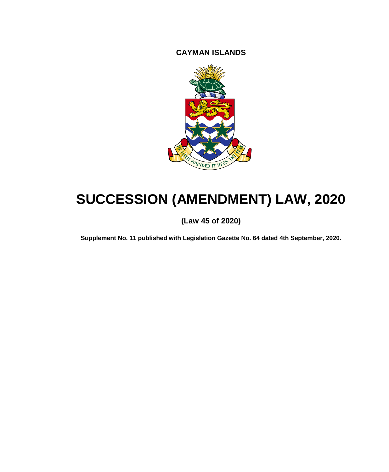**CAYMAN ISLANDS**



# **SUCCESSION (AMENDMENT) LAW, 2020**

# **(Law 45 of 2020)**

**Supplement No. 11 published with Legislation Gazette No. 64 dated 4th September, 2020.**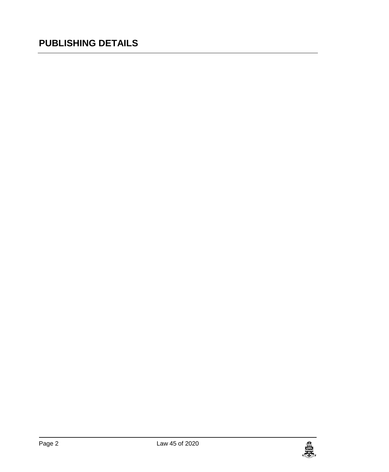# **PUBLISHING DETAILS**

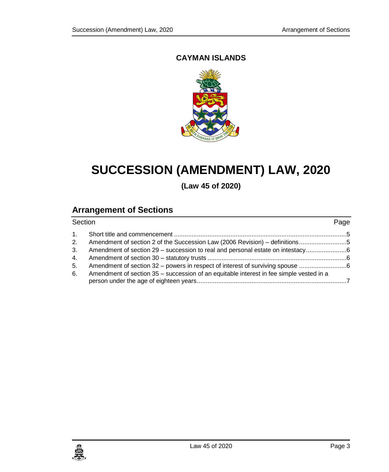# **CAYMAN ISLANDS**



# **SUCCESSION (AMENDMENT) LAW, 2020**

**(Law 45 of 2020)**

# **Arrangement of Sections**

| Section |                                                                                         | Page |
|---------|-----------------------------------------------------------------------------------------|------|
|         |                                                                                         |      |
| 2.      |                                                                                         |      |
| 3.      | Amendment of section 29 – succession to real and personal estate on intestacy           |      |
| 4.      |                                                                                         |      |
| 5.      | Amendment of section 32 – powers in respect of interest of surviving spouse             |      |
| 6.      | Amendment of section 35 – succession of an equitable interest in fee simple vested in a |      |

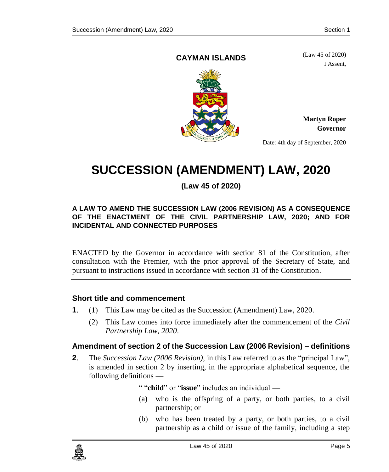### <span id="page-4-0"></span>**CAYMAN ISLANDS**

(Law 45 of 2020) I Assent,



**Martyn Roper Governor**

Date: 4th day of September, 2020

# **SUCCESSION (AMENDMENT) LAW, 2020**

# **(Law 45 of 2020)**

#### **A LAW TO AMEND THE SUCCESSION LAW (2006 REVISION) AS A CONSEQUENCE OF THE ENACTMENT OF THE CIVIL PARTNERSHIP LAW, 2020; AND FOR INCIDENTAL AND CONNECTED PURPOSES**

ENACTED by the Governor in accordance with section 81 of the Constitution, after consultation with the Premier, with the prior approval of the Secretary of State, and pursuant to instructions issued in accordance with section 31 of the Constitution.

### **1. Short title and commencement**

- **1**. (1) This Law may be cited as the Succession (Amendment) Law, 2020.
	- (2) This Law comes into force immediately after the commencement of the *Civil Partnership Law, 2020*.

# <span id="page-4-1"></span>**2. Amendment of section 2 of the Succession Law (2006 Revision) – definitions**

**2**. The *Succession Law (2006 Revision)*, in this Law referred to as the "principal Law", is amended in section 2 by inserting, in the appropriate alphabetical sequence, the following definitions —

" "**child**" or "**issue**" includes an individual —

- (a) who is the offspring of a party, or both parties, to a civil partnership; or
- (b) who has been treated by a party, or both parties, to a civil partnership as a child or issue of the family, including a step

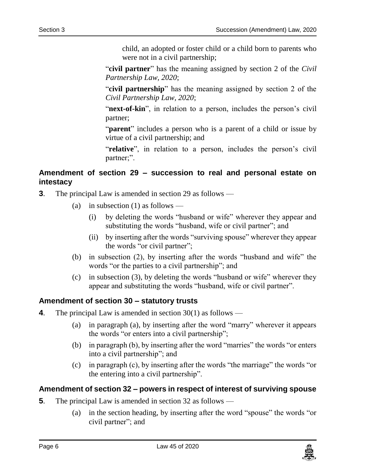child, an adopted or foster child or a child born to parents who were not in a civil partnership;

"**civil partner**" has the meaning assigned by section 2 of the *Civil Partnership Law, 2020*;

"**civil partnership**" has the meaning assigned by section 2 of the *Civil Partnership Law, 2020*;

"**next-of-kin**", in relation to a person, includes the person's civil partner;

"**parent**" includes a person who is a parent of a child or issue by virtue of a civil partnership; and

"**relative**", in relation to a person, includes the person's civil partner;".

## <span id="page-5-0"></span>**3. Amendment of section 29 – succession to real and personal estate on intestacy**

- **3**. The principal Law is amended in section 29 as follows
	- (a) in subsection (1) as follows
		- (i) by deleting the words "husband or wife" wherever they appear and substituting the words "husband, wife or civil partner"; and
		- (ii) by inserting after the words "surviving spouse" wherever they appear the words "or civil partner";
	- (b) in subsection (2), by inserting after the words "husband and wife" the words "or the parties to a civil partnership"; and
	- (c) in subsection (3), by deleting the words "husband or wife" wherever they appear and substituting the words "husband, wife or civil partner".

### <span id="page-5-1"></span>**4. Amendment of section 30 – statutory trusts**

- **4**. The principal Law is amended in section 30(1) as follows
	- (a) in paragraph (a), by inserting after the word "marry" wherever it appears the words "or enters into a civil partnership";
	- (b) in paragraph (b), by inserting after the word "marries" the words "or enters into a civil partnership"; and
	- (c) in paragraph (c), by inserting after the words "the marriage" the words "or the entering into a civil partnership".

### <span id="page-5-2"></span>**5. Amendment of section 32 – powers in respect of interest of surviving spouse**

- **5**. The principal Law is amended in section 32 as follows
	- (a) in the section heading, by inserting after the word "spouse" the words "or civil partner"; and